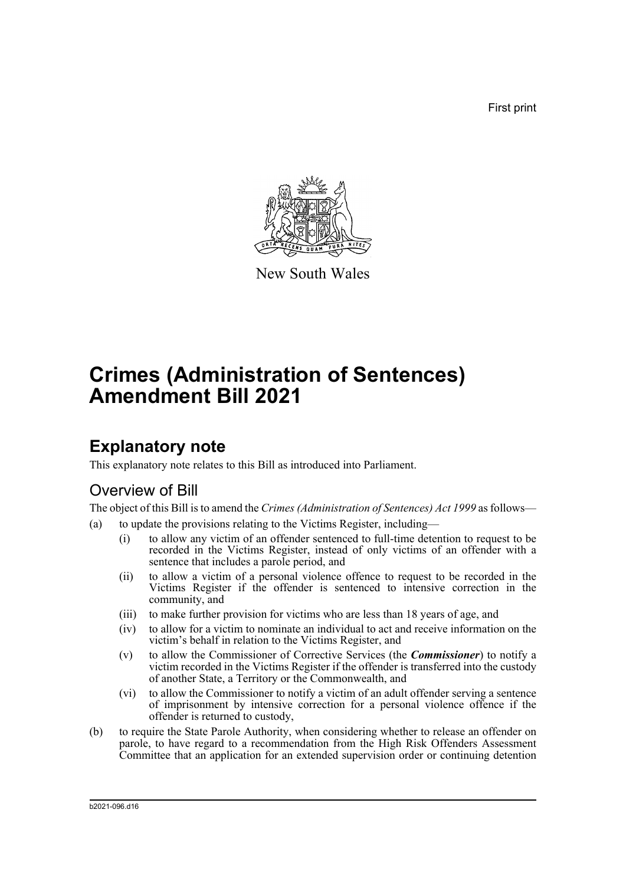First print



New South Wales

# **Crimes (Administration of Sentences) Amendment Bill 2021**

## **Explanatory note**

This explanatory note relates to this Bill as introduced into Parliament.

## Overview of Bill

The object of this Bill is to amend the *Crimes (Administration of Sentences) Act 1999* as follows—

- (a) to update the provisions relating to the Victims Register, including—
	- (i) to allow any victim of an offender sentenced to full-time detention to request to be recorded in the Victims Register, instead of only victims of an offender with a sentence that includes a parole period, and
	- (ii) to allow a victim of a personal violence offence to request to be recorded in the Victims Register if the offender is sentenced to intensive correction in the community, and
	- (iii) to make further provision for victims who are less than 18 years of age, and
	- (iv) to allow for a victim to nominate an individual to act and receive information on the victim's behalf in relation to the Victims Register, and
	- (v) to allow the Commissioner of Corrective Services (the *Commissioner*) to notify a victim recorded in the Victims Register if the offender is transferred into the custody of another State, a Territory or the Commonwealth, and
	- (vi) to allow the Commissioner to notify a victim of an adult offender serving a sentence of imprisonment by intensive correction for a personal violence offence if the offender is returned to custody,
- (b) to require the State Parole Authority, when considering whether to release an offender on parole, to have regard to a recommendation from the High Risk Offenders Assessment Committee that an application for an extended supervision order or continuing detention

b2021-096.d16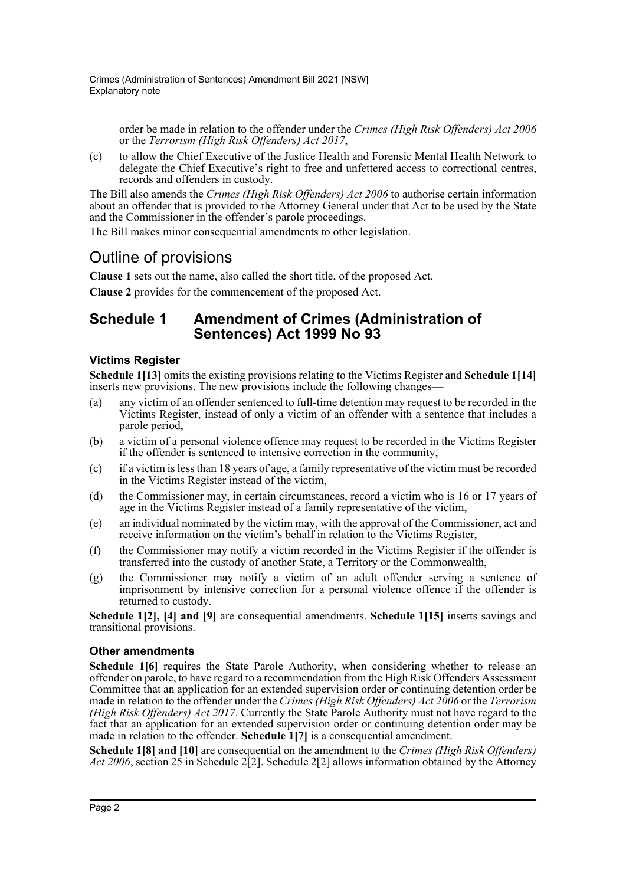order be made in relation to the offender under the *Crimes (High Risk Offenders) Act 2006* or the *Terrorism (High Risk Offenders) Act 2017*,

(c) to allow the Chief Executive of the Justice Health and Forensic Mental Health Network to delegate the Chief Executive's right to free and unfettered access to correctional centres, records and offenders in custody.

The Bill also amends the *Crimes (High Risk Offenders) Act 2006* to authorise certain information about an offender that is provided to the Attorney General under that Act to be used by the State and the Commissioner in the offender's parole proceedings.

The Bill makes minor consequential amendments to other legislation.

## Outline of provisions

**Clause 1** sets out the name, also called the short title, of the proposed Act.

**Clause 2** provides for the commencement of the proposed Act.

### **Schedule 1 Amendment of Crimes (Administration of Sentences) Act 1999 No 93**

### **Victims Register**

**Schedule 1[13]** omits the existing provisions relating to the Victims Register and **Schedule 1[14]** inserts new provisions. The new provisions include the following changes—

- (a) any victim of an offender sentenced to full-time detention may request to be recorded in the Victims Register, instead of only a victim of an offender with a sentence that includes a parole period,
- (b) a victim of a personal violence offence may request to be recorded in the Victims Register if the offender is sentenced to intensive correction in the community,
- (c) if a victim is less than 18 years of age, a family representative of the victim must be recorded in the Victims Register instead of the victim,
- (d) the Commissioner may, in certain circumstances, record a victim who is 16 or 17 years of age in the Victims Register instead of a family representative of the victim,
- (e) an individual nominated by the victim may, with the approval of the Commissioner, act and receive information on the victim's behalf in relation to the Victims Register,
- (f) the Commissioner may notify a victim recorded in the Victims Register if the offender is transferred into the custody of another State, a Territory or the Commonwealth,
- (g) the Commissioner may notify a victim of an adult offender serving a sentence of imprisonment by intensive correction for a personal violence offence if the offender is returned to custody.

**Schedule 1[2], [4] and [9]** are consequential amendments. **Schedule 1[15]** inserts savings and transitional provisions.

#### **Other amendments**

**Schedule 1[6]** requires the State Parole Authority, when considering whether to release an offender on parole, to have regard to a recommendation from the High Risk Offenders Assessment Committee that an application for an extended supervision order or continuing detention order be made in relation to the offender under the *Crimes (High Risk Offenders) Act 2006* or the *Terrorism (High Risk Offenders) Act 2017*. Currently the State Parole Authority must not have regard to the fact that an application for an extended supervision order or continuing detention order may be made in relation to the offender. **Schedule 1[7]** is a consequential amendment.

**Schedule 1[8] and [10]** are consequential on the amendment to the *Crimes (High Risk Offenders) Act 2006*, section 25 in Schedule 2[2]. Schedule 2[2] allows information obtained by the Attorney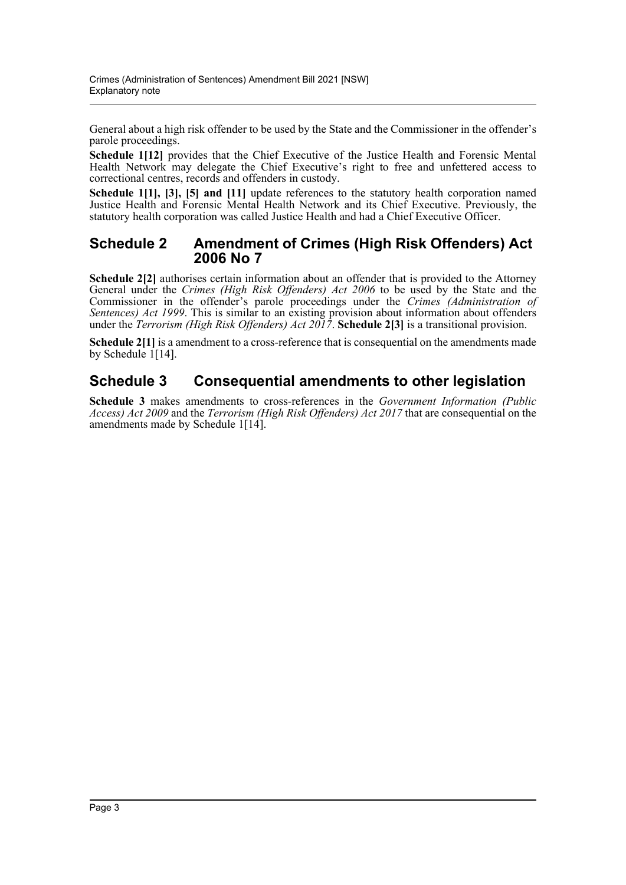General about a high risk offender to be used by the State and the Commissioner in the offender's parole proceedings.

**Schedule 1[12]** provides that the Chief Executive of the Justice Health and Forensic Mental Health Network may delegate the Chief Executive's right to free and unfettered access to correctional centres, records and offenders in custody.

**Schedule 1[1], [3], [5] and [11]** update references to the statutory health corporation named Justice Health and Forensic Mental Health Network and its Chief Executive. Previously, the statutory health corporation was called Justice Health and had a Chief Executive Officer.

### **Schedule 2 Amendment of Crimes (High Risk Offenders) Act 2006 No 7**

**Schedule 2[2]** authorises certain information about an offender that is provided to the Attorney General under the *Crimes (High Risk Offenders) Act 2006* to be used by the State and the Commissioner in the offender's parole proceedings under the *Crimes (Administration of Sentences) Act 1999*. This is similar to an existing provision about information about offenders under the *Terrorism (High Risk Offenders) Act 2017*. **Schedule 2[3]** is a transitional provision.

**Schedule 2[1]** is a amendment to a cross-reference that is consequential on the amendments made by Schedule  $1[14]$ .

## **Schedule 3 Consequential amendments to other legislation**

**Schedule 3** makes amendments to cross-references in the *Government Information (Public Access) Act 2009* and the *Terrorism (High Risk Offenders) Act 2017* that are consequential on the amendments made by Schedule 1[14].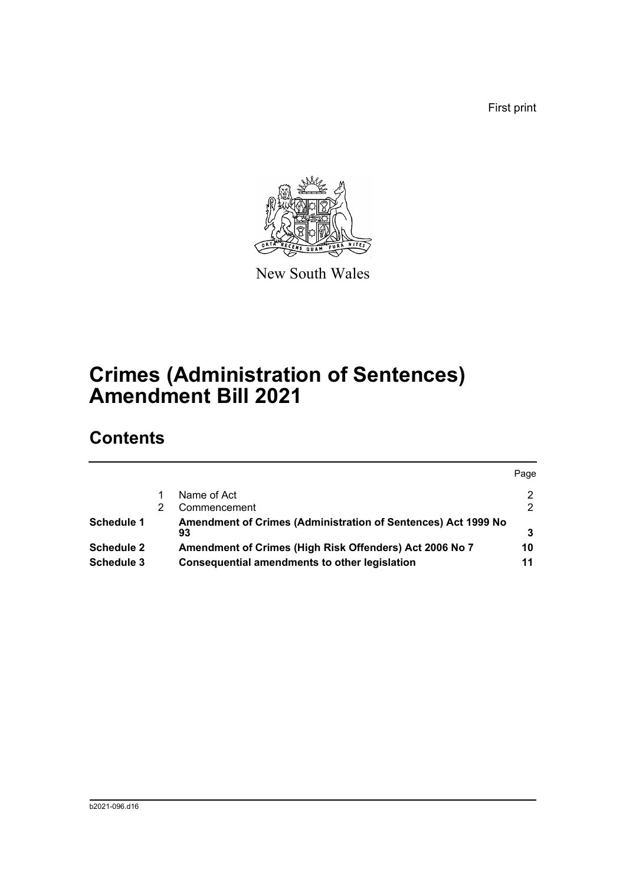First print



New South Wales

# **Crimes (Administration of Sentences) Amendment Bill 2021**

## **Contents**

|                   |                                                               | Page |
|-------------------|---------------------------------------------------------------|------|
|                   | Name of Act                                                   | 2    |
|                   | Commencement                                                  | 2    |
| Schedule 1        | Amendment of Crimes (Administration of Sentences) Act 1999 No |      |
|                   | 93                                                            |      |
| <b>Schedule 2</b> | Amendment of Crimes (High Risk Offenders) Act 2006 No 7       | 10   |
| Schedule 3        | <b>Consequential amendments to other legislation</b>          | 11   |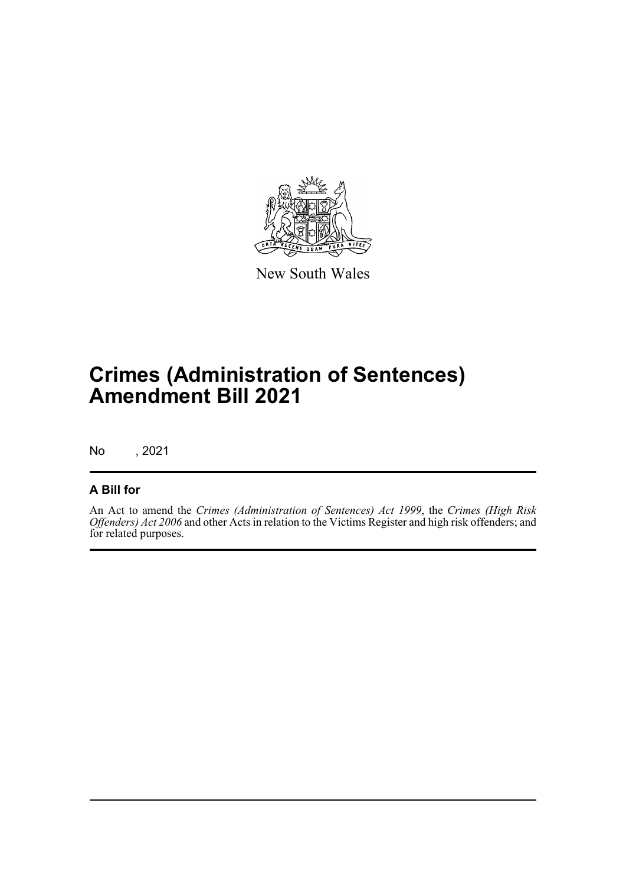

New South Wales

# **Crimes (Administration of Sentences) Amendment Bill 2021**

No , 2021

### **A Bill for**

An Act to amend the *Crimes (Administration of Sentences) Act 1999*, the *Crimes (High Risk Offenders) Act 2006* and other Acts in relation to the Victims Register and high risk offenders; and for related purposes.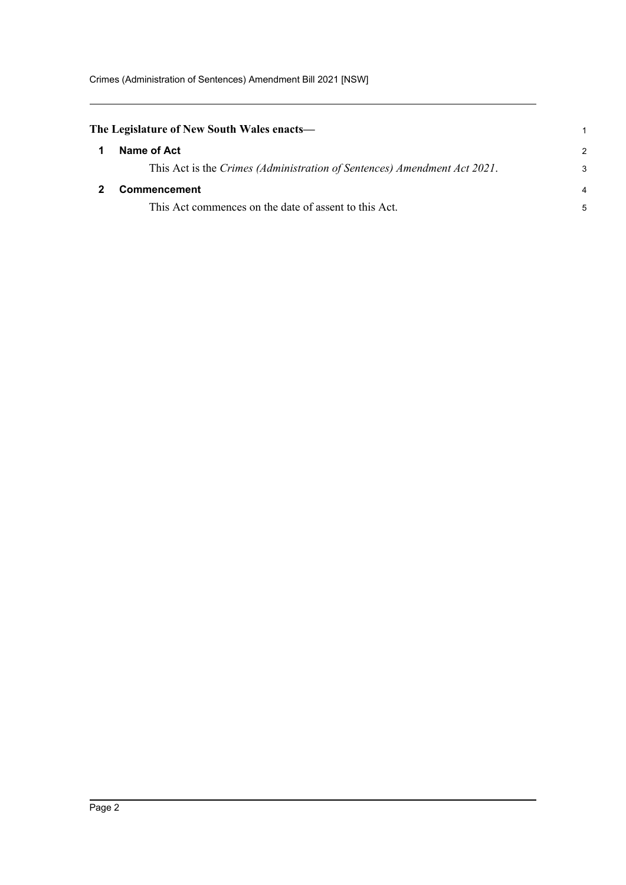<span id="page-5-1"></span><span id="page-5-0"></span>

| The Legislature of New South Wales enacts— |                                                                          |               |
|--------------------------------------------|--------------------------------------------------------------------------|---------------|
|                                            | Name of Act                                                              | $\mathcal{P}$ |
|                                            | This Act is the Crimes (Administration of Sentences) Amendment Act 2021. | 3             |
|                                            | <b>Commencement</b>                                                      | 4             |
|                                            | This Act commences on the date of assent to this Act.                    | 5             |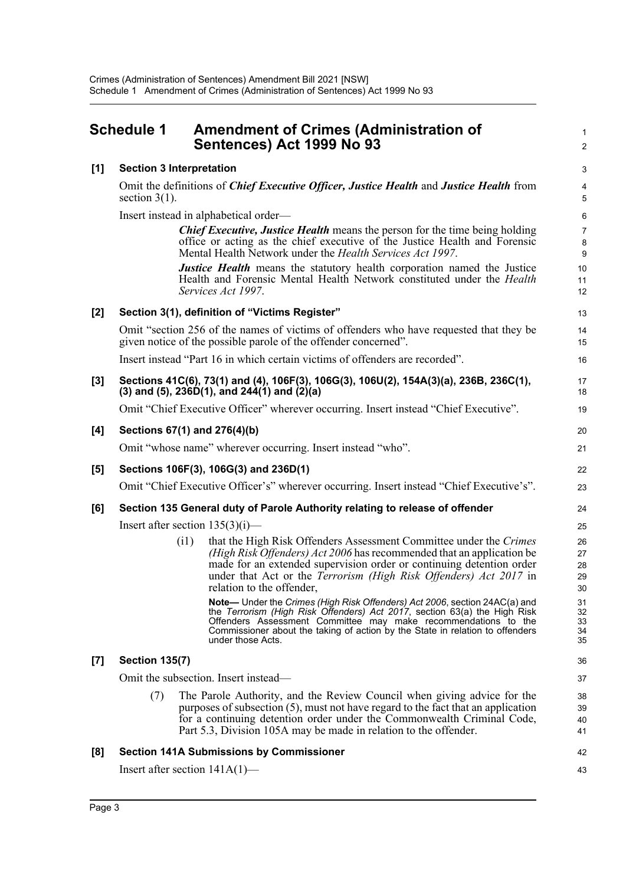<span id="page-6-0"></span>

|       | <b>Schedule 1</b>                | <b>Amendment of Crimes (Administration of</b><br>Sentences) Act 1999 No 93                                                                                                                                                                                                                                                                     | $\mathbf{1}$<br>$\overline{2}$ |
|-------|----------------------------------|------------------------------------------------------------------------------------------------------------------------------------------------------------------------------------------------------------------------------------------------------------------------------------------------------------------------------------------------|--------------------------------|
| [1]   | <b>Section 3 Interpretation</b>  |                                                                                                                                                                                                                                                                                                                                                | 3                              |
|       | section $3(1)$ .                 | Omit the definitions of <i>Chief Executive Officer</i> , <i>Justice Health</i> and <i>Justice Health</i> from                                                                                                                                                                                                                                  | 4<br>5                         |
|       |                                  | Insert instead in alphabetical order—                                                                                                                                                                                                                                                                                                          | $\,6\,$                        |
|       |                                  | Chief Executive, Justice Health means the person for the time being holding<br>office or acting as the chief executive of the Justice Health and Forensic<br>Mental Health Network under the <i>Health Services Act 1997</i> .                                                                                                                 | $\overline{7}$<br>8<br>9       |
|       |                                  | <b>Justice Health</b> means the statutory health corporation named the Justice<br>Health and Forensic Mental Health Network constituted under the <i>Health</i><br>Services Act 1997.                                                                                                                                                          | 10<br>11<br>12                 |
| $[2]$ |                                  | Section 3(1), definition of "Victims Register"                                                                                                                                                                                                                                                                                                 | 13                             |
|       |                                  | Omit "section 256 of the names of victims of offenders who have requested that they be<br>given notice of the possible parole of the offender concerned".                                                                                                                                                                                      | 14<br>15                       |
|       |                                  | Insert instead "Part 16 in which certain victims of offenders are recorded".                                                                                                                                                                                                                                                                   | 16                             |
| $[3]$ |                                  | Sections 41C(6), 73(1) and (4), 106F(3), 106G(3), 106U(2), 154A(3)(a), 236B, 236C(1),<br>(3) and (5), $236D(1)$ , and $244(1)$ and $(2)(a)$                                                                                                                                                                                                    | 17<br>18                       |
|       |                                  | Omit "Chief Executive Officer" wherever occurring. Insert instead "Chief Executive".                                                                                                                                                                                                                                                           | 19                             |
| [4]   | Sections 67(1) and 276(4)(b)     |                                                                                                                                                                                                                                                                                                                                                | 20                             |
|       |                                  | Omit "whose name" wherever occurring. Insert instead "who".                                                                                                                                                                                                                                                                                    | 21                             |
| [5]   |                                  | Sections 106F(3), 106G(3) and 236D(1)                                                                                                                                                                                                                                                                                                          | 22                             |
|       |                                  | Omit "Chief Executive Officer's" wherever occurring. Insert instead "Chief Executive's".                                                                                                                                                                                                                                                       | 23                             |
| [6]   |                                  | Section 135 General duty of Parole Authority relating to release of offender                                                                                                                                                                                                                                                                   | 24                             |
|       |                                  | Insert after section $135(3)(i)$ —                                                                                                                                                                                                                                                                                                             | 25                             |
|       | (i1)                             | that the High Risk Offenders Assessment Committee under the Crimes<br>(High Risk Offenders) Act 2006 has recommended that an application be<br>made for an extended supervision order or continuing detention order<br>under that Act or the Terrorism (High Risk Offenders) Act 2017 in<br>relation to the offender,                          | 26<br>27<br>28<br>29<br>30     |
|       |                                  | <b>Note—</b> Under the <i>Crimes (High Risk Offenders) Act 2006</i> , section 24AC(a) and<br>the Terrorism (High Risk Offenders) Act 2017, section 63(a) the High Risk<br>Offenders Assessment Committee may make recommendations to the<br>Commissioner about the taking of action by the State in relation to offenders<br>under those Acts. | 31<br>32<br>33<br>34<br>35     |
| [7]   | <b>Section 135(7)</b>            |                                                                                                                                                                                                                                                                                                                                                | 36                             |
|       |                                  | Omit the subsection. Insert instead—                                                                                                                                                                                                                                                                                                           | 37                             |
|       | (7)                              | The Parole Authority, and the Review Council when giving advice for the<br>purposes of subsection (5), must not have regard to the fact that an application<br>for a continuing detention order under the Commonwealth Criminal Code,<br>Part 5.3, Division 105A may be made in relation to the offender.                                      | 38<br>39<br>40<br>41           |
| [8]   |                                  | <b>Section 141A Submissions by Commissioner</b>                                                                                                                                                                                                                                                                                                | 42                             |
|       | Insert after section $141A(1)$ — |                                                                                                                                                                                                                                                                                                                                                | 43                             |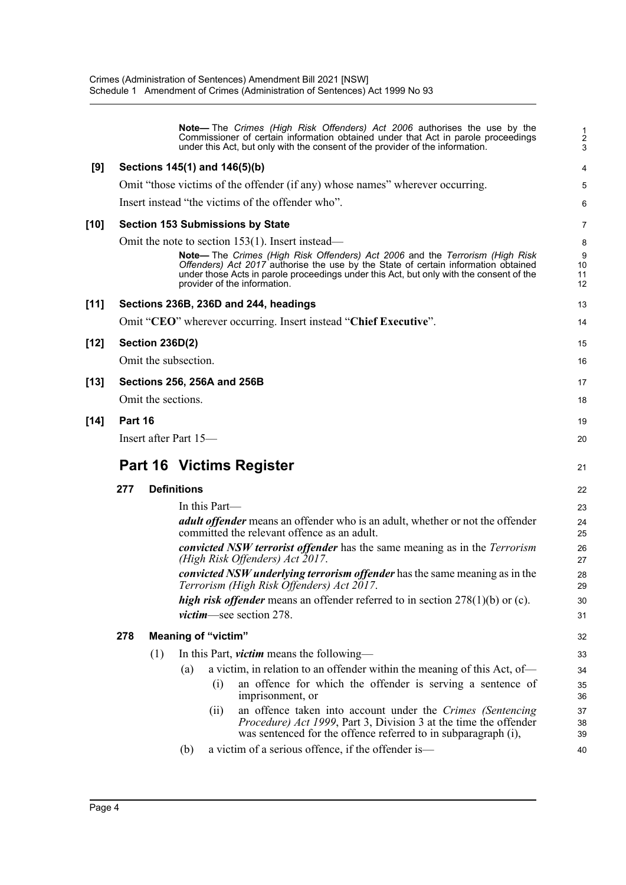|        |         |                            | Note— The Crimes (High Risk Offenders) Act 2006 authorises the use by the<br>Commissioner of certain information obtained under that Act in parole proceedings<br>under this Act, but only with the consent of the provider of the information.                                              | $\frac{1}{2}$<br>3  |
|--------|---------|----------------------------|----------------------------------------------------------------------------------------------------------------------------------------------------------------------------------------------------------------------------------------------------------------------------------------------|---------------------|
| [9]    |         |                            | Sections 145(1) and 146(5)(b)                                                                                                                                                                                                                                                                | 4                   |
|        |         |                            | Omit "those victims of the offender (if any) whose names" wherever occurring.                                                                                                                                                                                                                | 5                   |
|        |         |                            | Insert instead "the victims of the offender who".                                                                                                                                                                                                                                            | 6                   |
| [10]   |         |                            | <b>Section 153 Submissions by State</b>                                                                                                                                                                                                                                                      | 7                   |
|        |         |                            | Omit the note to section 153(1). Insert instead—                                                                                                                                                                                                                                             | 8                   |
|        |         |                            | Note-The Crimes (High Risk Offenders) Act 2006 and the Terrorism (High Risk<br>Offenders) Act 2017 authorise the use by the State of certain information obtained<br>under those Acts in parole proceedings under this Act, but only with the consent of the<br>provider of the information. | 9<br>10<br>11<br>12 |
| $[11]$ |         |                            | Sections 236B, 236D and 244, headings                                                                                                                                                                                                                                                        | 13                  |
|        |         |                            | Omit "CEO" wherever occurring. Insert instead "Chief Executive".                                                                                                                                                                                                                             | 14                  |
| [12]   |         | <b>Section 236D(2)</b>     |                                                                                                                                                                                                                                                                                              | 15                  |
|        |         | Omit the subsection.       |                                                                                                                                                                                                                                                                                              | 16                  |
| [13]   |         |                            | Sections 256, 256A and 256B                                                                                                                                                                                                                                                                  | 17                  |
|        |         | Omit the sections.         |                                                                                                                                                                                                                                                                                              | 18                  |
| [14]   | Part 16 |                            |                                                                                                                                                                                                                                                                                              | 19                  |
|        |         | Insert after Part 15-      |                                                                                                                                                                                                                                                                                              | 20                  |
|        |         |                            |                                                                                                                                                                                                                                                                                              |                     |
|        |         |                            | <b>Part 16 Victims Register</b>                                                                                                                                                                                                                                                              | 21                  |
|        | 277     | <b>Definitions</b>         |                                                                                                                                                                                                                                                                                              | 22                  |
|        |         |                            | In this Part—                                                                                                                                                                                                                                                                                | 23                  |
|        |         |                            | <i>adult offender</i> means an offender who is an adult, whether or not the offender<br>committed the relevant offence as an adult.                                                                                                                                                          | 24<br>25            |
|        |         |                            | convicted NSW terrorist offender has the same meaning as in the Terrorism<br>(High Risk Offenders) Act 2017.                                                                                                                                                                                 | 26<br>27            |
|        |         |                            | <i>convicted NSW underlying terrorism offender</i> has the same meaning as in the<br>Terrorism (High Risk Offenders) Act 2017.                                                                                                                                                               | 28<br>29            |
|        |         |                            | <i>high risk offender</i> means an offender referred to in section $278(1)(b)$ or (c).                                                                                                                                                                                                       | 30                  |
|        |         |                            | <i>victim</i> —see section 278.                                                                                                                                                                                                                                                              | 31                  |
|        | 278     | <b>Meaning of "victim"</b> |                                                                                                                                                                                                                                                                                              | 32                  |
|        |         | (1)                        | In this Part, <i>victim</i> means the following-                                                                                                                                                                                                                                             | 33                  |
|        |         | (a)                        | a victim, in relation to an offender within the meaning of this Act, of-                                                                                                                                                                                                                     | 34                  |
|        |         |                            | an offence for which the offender is serving a sentence of<br>(i)<br>imprisonment, or                                                                                                                                                                                                        | 35<br>36            |
|        |         |                            | an offence taken into account under the Crimes (Sentencing<br>(i)<br>Procedure) Act 1999, Part 3, Division 3 at the time the offender<br>was sentenced for the offence referred to in subparagraph (i),                                                                                      | 37<br>38<br>39      |
|        |         |                            |                                                                                                                                                                                                                                                                                              |                     |
|        |         | (b)                        | a victim of a serious offence, if the offender is—                                                                                                                                                                                                                                           | 40                  |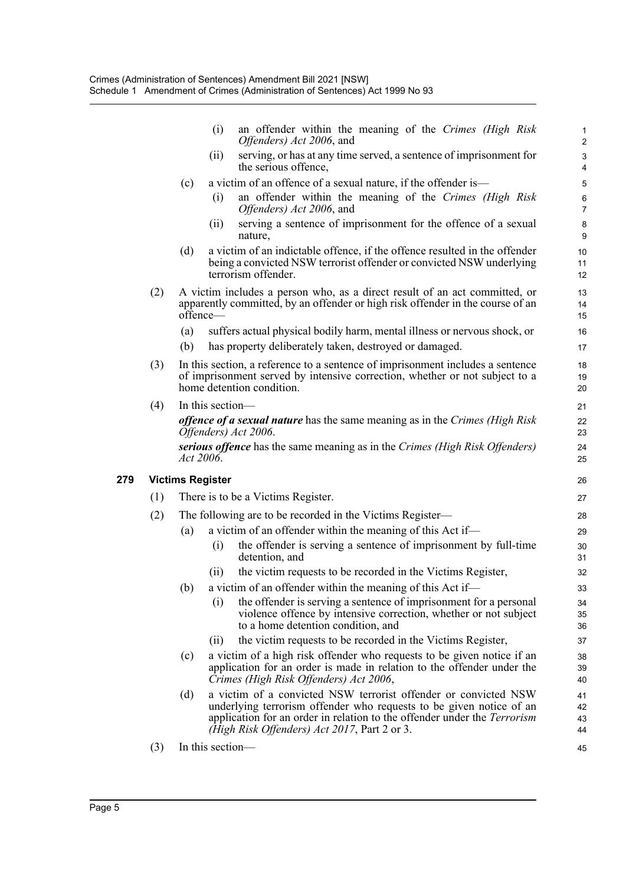|     |            | an offender within the meaning of the Crimes (High Risk<br>(i)                                                                                                                                                                                                            |                                                                                                                                                                                                                                                                                                                                                                                                                                                                                                                                                                                                                                                                                                                                                                                                                                                                    |
|-----|------------|---------------------------------------------------------------------------------------------------------------------------------------------------------------------------------------------------------------------------------------------------------------------------|--------------------------------------------------------------------------------------------------------------------------------------------------------------------------------------------------------------------------------------------------------------------------------------------------------------------------------------------------------------------------------------------------------------------------------------------------------------------------------------------------------------------------------------------------------------------------------------------------------------------------------------------------------------------------------------------------------------------------------------------------------------------------------------------------------------------------------------------------------------------|
|     |            | Offenders) Act 2006, and                                                                                                                                                                                                                                                  | $\mathbf{1}$<br>$\boldsymbol{2}$                                                                                                                                                                                                                                                                                                                                                                                                                                                                                                                                                                                                                                                                                                                                                                                                                                   |
|     |            | serving, or has at any time served, a sentence of imprisonment for<br>(ii)<br>the serious offence,                                                                                                                                                                        | $\ensuremath{\mathsf{3}}$<br>4                                                                                                                                                                                                                                                                                                                                                                                                                                                                                                                                                                                                                                                                                                                                                                                                                                     |
|     | (c)        | a victim of an offence of a sexual nature, if the offender is—                                                                                                                                                                                                            | 5                                                                                                                                                                                                                                                                                                                                                                                                                                                                                                                                                                                                                                                                                                                                                                                                                                                                  |
|     |            | an offender within the meaning of the Crimes (High Risk<br>(i)<br>Offenders) Act 2006, and                                                                                                                                                                                | $\,6\,$<br>$\overline{7}$                                                                                                                                                                                                                                                                                                                                                                                                                                                                                                                                                                                                                                                                                                                                                                                                                                          |
|     |            | serving a sentence of imprisonment for the offence of a sexual<br>(i)<br>nature,                                                                                                                                                                                          | $\bf 8$<br>9                                                                                                                                                                                                                                                                                                                                                                                                                                                                                                                                                                                                                                                                                                                                                                                                                                                       |
|     | (d)        | a victim of an indictable offence, if the offence resulted in the offender<br>being a convicted NSW terrorist offender or convicted NSW underlying<br>terrorism offender.                                                                                                 | 10<br>11<br>12                                                                                                                                                                                                                                                                                                                                                                                                                                                                                                                                                                                                                                                                                                                                                                                                                                                     |
| (2) |            |                                                                                                                                                                                                                                                                           | 13<br>14<br>15                                                                                                                                                                                                                                                                                                                                                                                                                                                                                                                                                                                                                                                                                                                                                                                                                                                     |
|     | (a)<br>(b) | suffers actual physical bodily harm, mental illness or nervous shock, or<br>has property deliberately taken, destroyed or damaged.                                                                                                                                        | 16<br>17                                                                                                                                                                                                                                                                                                                                                                                                                                                                                                                                                                                                                                                                                                                                                                                                                                                           |
| (3) |            |                                                                                                                                                                                                                                                                           | 18<br>19<br>20                                                                                                                                                                                                                                                                                                                                                                                                                                                                                                                                                                                                                                                                                                                                                                                                                                                     |
| (4) |            |                                                                                                                                                                                                                                                                           | 21                                                                                                                                                                                                                                                                                                                                                                                                                                                                                                                                                                                                                                                                                                                                                                                                                                                                 |
|     |            |                                                                                                                                                                                                                                                                           | 22<br>23                                                                                                                                                                                                                                                                                                                                                                                                                                                                                                                                                                                                                                                                                                                                                                                                                                                           |
|     |            |                                                                                                                                                                                                                                                                           | 24<br>25                                                                                                                                                                                                                                                                                                                                                                                                                                                                                                                                                                                                                                                                                                                                                                                                                                                           |
|     |            |                                                                                                                                                                                                                                                                           | 26                                                                                                                                                                                                                                                                                                                                                                                                                                                                                                                                                                                                                                                                                                                                                                                                                                                                 |
| (1) |            |                                                                                                                                                                                                                                                                           | 27                                                                                                                                                                                                                                                                                                                                                                                                                                                                                                                                                                                                                                                                                                                                                                                                                                                                 |
|     |            |                                                                                                                                                                                                                                                                           | 28                                                                                                                                                                                                                                                                                                                                                                                                                                                                                                                                                                                                                                                                                                                                                                                                                                                                 |
|     | (a)        |                                                                                                                                                                                                                                                                           | 29                                                                                                                                                                                                                                                                                                                                                                                                                                                                                                                                                                                                                                                                                                                                                                                                                                                                 |
|     |            | the offender is serving a sentence of imprisonment by full-time<br>(i)<br>detention, and                                                                                                                                                                                  | 30<br>31                                                                                                                                                                                                                                                                                                                                                                                                                                                                                                                                                                                                                                                                                                                                                                                                                                                           |
|     |            | the victim requests to be recorded in the Victims Register,<br>(11)                                                                                                                                                                                                       | 32                                                                                                                                                                                                                                                                                                                                                                                                                                                                                                                                                                                                                                                                                                                                                                                                                                                                 |
|     |            |                                                                                                                                                                                                                                                                           | 33                                                                                                                                                                                                                                                                                                                                                                                                                                                                                                                                                                                                                                                                                                                                                                                                                                                                 |
|     |            | the offender is serving a sentence of imprisonment for a personal<br>(i)<br>violence offence by intensive correction, whether or not subject<br>to a home detention condition, and                                                                                        | 34<br>35<br>36                                                                                                                                                                                                                                                                                                                                                                                                                                                                                                                                                                                                                                                                                                                                                                                                                                                     |
|     |            | the victim requests to be recorded in the Victims Register,<br>(11)                                                                                                                                                                                                       | 37                                                                                                                                                                                                                                                                                                                                                                                                                                                                                                                                                                                                                                                                                                                                                                                                                                                                 |
|     | (c)        | a victim of a high risk offender who requests to be given notice if an<br>application for an order is made in relation to the offender under the<br>Crimes (High Risk Offenders) Act 2006,                                                                                | 38<br>39<br>40                                                                                                                                                                                                                                                                                                                                                                                                                                                                                                                                                                                                                                                                                                                                                                                                                                                     |
|     | (d)        | a victim of a convicted NSW terrorist offender or convicted NSW<br>underlying terrorism offender who requests to be given notice of an<br>application for an order in relation to the offender under the <i>Terrorism</i><br>(High Risk Offenders) Act 2017, Part 2 or 3. | 41<br>42<br>43<br>44                                                                                                                                                                                                                                                                                                                                                                                                                                                                                                                                                                                                                                                                                                                                                                                                                                               |
|     | (2)        |                                                                                                                                                                                                                                                                           | A victim includes a person who, as a direct result of an act committed, or<br>apparently committed, by an offender or high risk offender in the course of an<br>offence—<br>In this section, a reference to a sentence of imprisonment includes a sentence<br>of imprisonment served by intensive correction, whether or not subject to a<br>home detention condition.<br>In this section-<br><i>offence of a sexual nature</i> has the same meaning as in the Crimes (High Risk<br>Offenders) Act 2006.<br>serious offence has the same meaning as in the Crimes (High Risk Offenders)<br>Act 2006.<br><b>Victims Register</b><br>There is to be a Victims Register.<br>The following are to be recorded in the Victims Register—<br>a victim of an offender within the meaning of this Act if-<br>(b) a victim of an offender within the meaning of this Act if- |

(3) In this section—

45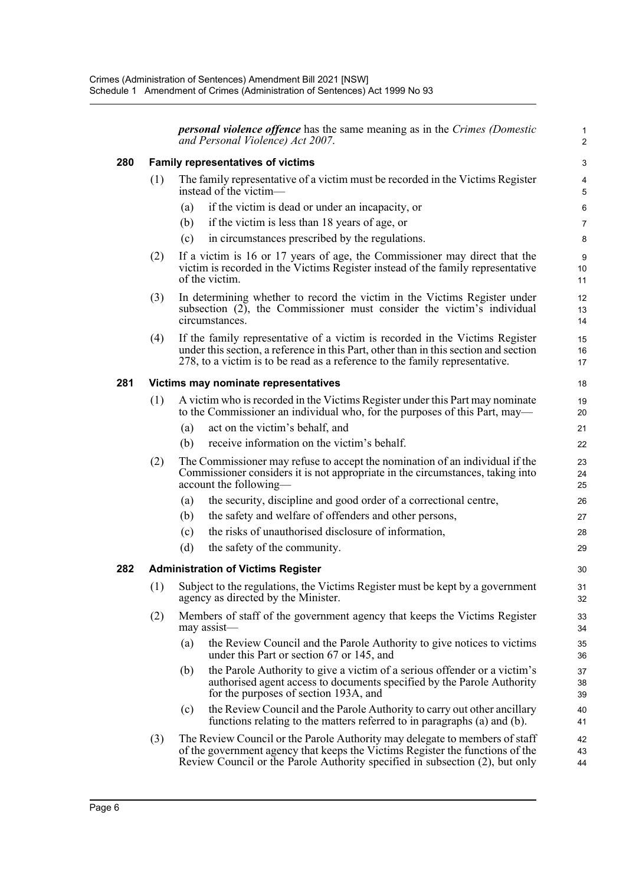|     |     |     | <b>personal violence offence</b> has the same meaning as in the Crimes (Domestic<br>and Personal Violence) Act 2007.                                                                                                                                | 1<br>2         |
|-----|-----|-----|-----------------------------------------------------------------------------------------------------------------------------------------------------------------------------------------------------------------------------------------------------|----------------|
| 280 |     |     | <b>Family representatives of victims</b>                                                                                                                                                                                                            | 3              |
|     | (1) |     | The family representative of a victim must be recorded in the Victims Register<br>instead of the victim—                                                                                                                                            | 4<br>5         |
|     |     | (a) | if the victim is dead or under an incapacity, or                                                                                                                                                                                                    | 6              |
|     |     | (b) | if the victim is less than 18 years of age, or                                                                                                                                                                                                      | $\overline{7}$ |
|     |     | (c) | in circumstances prescribed by the regulations.                                                                                                                                                                                                     | 8              |
|     | (2) |     | If a victim is 16 or 17 years of age, the Commissioner may direct that the<br>victim is recorded in the Victims Register instead of the family representative<br>of the victim.                                                                     | 9<br>10<br>11  |
|     | (3) |     | In determining whether to record the victim in the Victims Register under<br>subsection (2), the Commissioner must consider the victim's individual<br>circumstances.                                                                               | 12<br>13<br>14 |
|     | (4) |     | If the family representative of a victim is recorded in the Victims Register<br>under this section, a reference in this Part, other than in this section and section<br>278, to a victim is to be read as a reference to the family representative. | 15<br>16<br>17 |
| 281 |     |     | Victims may nominate representatives                                                                                                                                                                                                                | 18             |
|     | (1) |     | A victim who is recorded in the Victims Register under this Part may nominate<br>to the Commissioner an individual who, for the purposes of this Part, may—                                                                                         | 19<br>20       |
|     |     | (a) | act on the victim's behalf, and                                                                                                                                                                                                                     | 21             |
|     |     | (b) | receive information on the victim's behalf.                                                                                                                                                                                                         | 22             |
|     | (2) |     | The Commissioner may refuse to accept the nomination of an individual if the<br>Commissioner considers it is not appropriate in the circumstances, taking into<br>account the following—                                                            | 23<br>24<br>25 |
|     |     | (a) | the security, discipline and good order of a correctional centre,                                                                                                                                                                                   | 26             |
|     |     | (b) | the safety and welfare of offenders and other persons,                                                                                                                                                                                              | 27             |
|     |     | (c) | the risks of unauthorised disclosure of information,                                                                                                                                                                                                | 28             |
|     |     | (d) | the safety of the community.                                                                                                                                                                                                                        | 29             |
| 282 |     |     | <b>Administration of Victims Register</b>                                                                                                                                                                                                           | 30             |
|     |     |     | (1) Subject to the regulations, the Victims Register must be kept by a government<br>agency as directed by the Minister.                                                                                                                            | 31<br>32       |
|     | (2) |     | Members of staff of the government agency that keeps the Victims Register<br>may assist-                                                                                                                                                            | 33<br>34       |
|     |     | (a) | the Review Council and the Parole Authority to give notices to victims<br>under this Part or section 67 or 145, and                                                                                                                                 | 35<br>36       |
|     |     | (b) | the Parole Authority to give a victim of a serious offender or a victim's<br>authorised agent access to documents specified by the Parole Authority<br>for the purposes of section 193A, and                                                        | 37<br>38<br>39 |
|     |     | (c) | the Review Council and the Parole Authority to carry out other ancillary<br>functions relating to the matters referred to in paragraphs (a) and (b).                                                                                                | 40<br>41       |
|     | (3) |     | The Review Council or the Parole Authority may delegate to members of staff<br>of the government agency that keeps the Victims Register the functions of the<br>Review Council or the Parole Authority specified in subsection (2), but only        | 42<br>43<br>44 |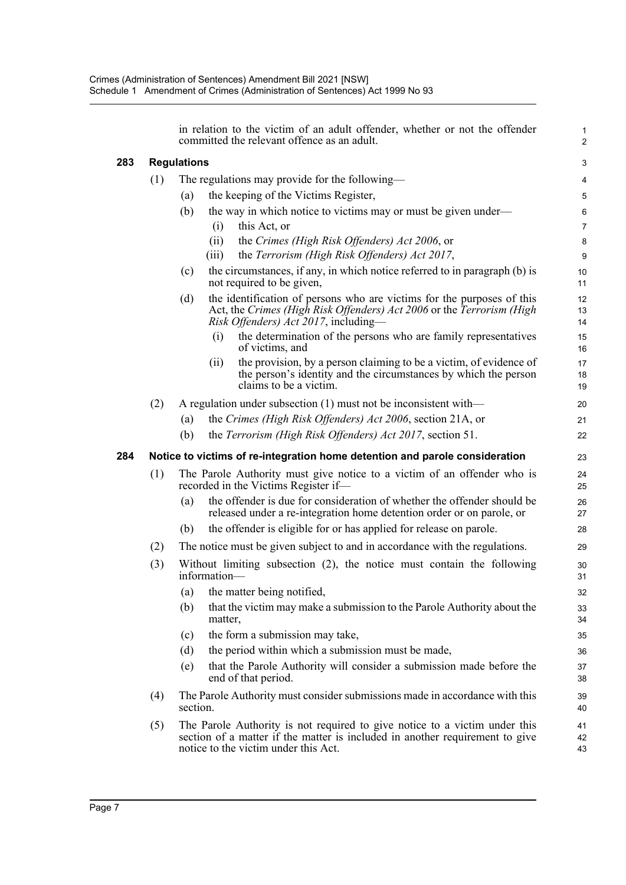|     |     |                    | in relation to the victim of an adult offender, whether or not the offender<br>committed the relevant offence as an adult.                                                                         | 1<br>$\mathbf{2}$ |
|-----|-----|--------------------|----------------------------------------------------------------------------------------------------------------------------------------------------------------------------------------------------|-------------------|
| 283 |     | <b>Regulations</b> |                                                                                                                                                                                                    | 3                 |
|     | (1) |                    | The regulations may provide for the following—                                                                                                                                                     | 4                 |
|     |     | (a)                | the keeping of the Victims Register,                                                                                                                                                               | $\mathbf 5$       |
|     |     | (b)                | the way in which notice to victims may or must be given under—                                                                                                                                     | 6                 |
|     |     |                    | this Act, or<br>(i)                                                                                                                                                                                | $\overline{7}$    |
|     |     |                    | (ii)<br>the Crimes (High Risk Offenders) Act 2006, or                                                                                                                                              | 8                 |
|     |     |                    | the Terrorism (High Risk Offenders) Act 2017,<br>(iii)                                                                                                                                             | 9                 |
|     |     | (c)                | the circumstances, if any, in which notice referred to in paragraph (b) is<br>not required to be given,                                                                                            | 10<br>11          |
|     |     | (d)                | the identification of persons who are victims for the purposes of this<br>Act, the Crimes (High Risk Offenders) Act 2006 or the Terrorism (High<br><i>Risk Offenders) Act 2017</i> , including—    | 12<br>13<br>14    |
|     |     |                    | the determination of the persons who are family representatives<br>(i)<br>of victims, and                                                                                                          | 15<br>16          |
|     |     |                    | the provision, by a person claiming to be a victim, of evidence of<br>(i)<br>the person's identity and the circumstances by which the person<br>claims to be a victim.                             | 17<br>18<br>19    |
|     | (2) |                    | A regulation under subsection $(1)$ must not be inconsistent with—                                                                                                                                 | 20                |
|     |     | (a)                | the Crimes (High Risk Offenders) Act 2006, section 21A, or                                                                                                                                         | 21                |
|     |     | (b)                | the Terrorism (High Risk Offenders) Act 2017, section 51.                                                                                                                                          | 22                |
| 284 |     |                    | Notice to victims of re-integration home detention and parole consideration                                                                                                                        | 23                |
|     | (1) |                    | The Parole Authority must give notice to a victim of an offender who is<br>recorded in the Victims Register if—                                                                                    | 24<br>25          |
|     |     | (a)                | the offender is due for consideration of whether the offender should be<br>released under a re-integration home detention order or on parole, or                                                   | 26<br>27          |
|     |     | (b)                | the offender is eligible for or has applied for release on parole.                                                                                                                                 | 28                |
|     | (2) |                    | The notice must be given subject to and in accordance with the regulations.                                                                                                                        | 29                |
|     | (3) |                    | Without limiting subsection $(2)$ , the notice must contain the following<br>information-                                                                                                          | 30<br>31          |
|     |     |                    | (a) the matter being notified,                                                                                                                                                                     | 32                |
|     |     | (b)                | that the victim may make a submission to the Parole Authority about the<br>matter,                                                                                                                 | 33<br>34          |
|     |     | (c)                | the form a submission may take,                                                                                                                                                                    | 35                |
|     |     | (d)                | the period within which a submission must be made,                                                                                                                                                 | 36                |
|     |     | (e)                | that the Parole Authority will consider a submission made before the<br>end of that period.                                                                                                        | 37<br>38          |
|     | (4) | section.           | The Parole Authority must consider submissions made in accordance with this                                                                                                                        | 39<br>40          |
|     | (5) |                    | The Parole Authority is not required to give notice to a victim under this<br>section of a matter if the matter is included in another requirement to give<br>notice to the victim under this Act. | 41<br>42<br>43    |

**283 Regulations**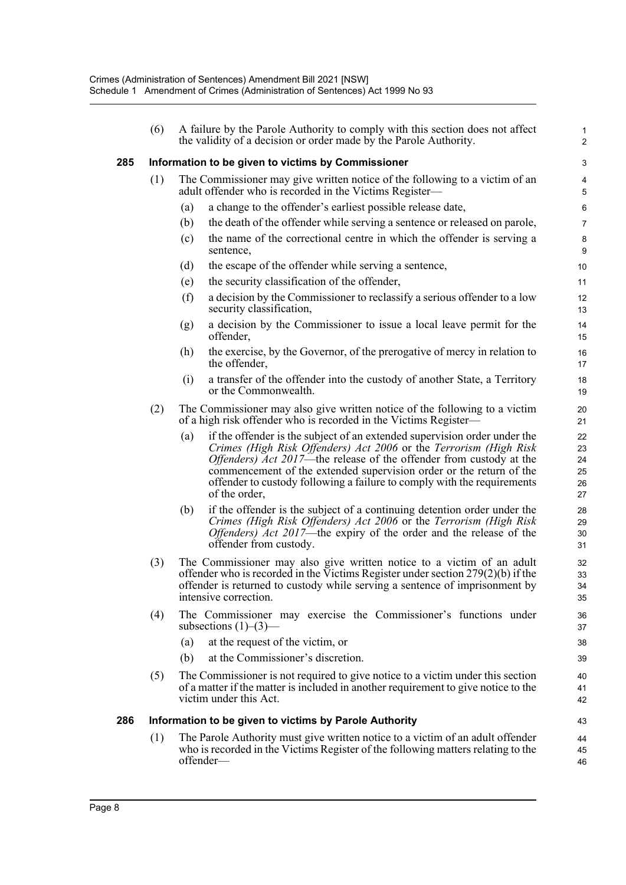|     | (6) | A failure by the Parole Authority to comply with this section does not affect<br>the validity of a decision or order made by the Parole Authority.                                                                                                                                                                                                                                                      | $\mathbf{1}$<br>2                |
|-----|-----|---------------------------------------------------------------------------------------------------------------------------------------------------------------------------------------------------------------------------------------------------------------------------------------------------------------------------------------------------------------------------------------------------------|----------------------------------|
| 285 |     | Information to be given to victims by Commissioner                                                                                                                                                                                                                                                                                                                                                      | 3                                |
|     | (1) | The Commissioner may give written notice of the following to a victim of an<br>adult offender who is recorded in the Victims Register-                                                                                                                                                                                                                                                                  | $\overline{4}$<br>5              |
|     |     | a change to the offender's earliest possible release date,<br>(a)                                                                                                                                                                                                                                                                                                                                       | 6                                |
|     |     | the death of the offender while serving a sentence or released on parole,<br>(b)                                                                                                                                                                                                                                                                                                                        | $\overline{7}$                   |
|     |     | the name of the correctional centre in which the offender is serving a<br>(c)<br>sentence,                                                                                                                                                                                                                                                                                                              | 8<br>9                           |
|     |     | the escape of the offender while serving a sentence,<br>(d)                                                                                                                                                                                                                                                                                                                                             | 10                               |
|     |     | the security classification of the offender,<br>(e)                                                                                                                                                                                                                                                                                                                                                     | 11                               |
|     |     | (f)<br>a decision by the Commissioner to reclassify a serious offender to a low<br>security classification,                                                                                                                                                                                                                                                                                             | 12<br>13                         |
|     |     | a decision by the Commissioner to issue a local leave permit for the<br>(g)<br>offender,                                                                                                                                                                                                                                                                                                                | 14<br>15                         |
|     |     | the exercise, by the Governor, of the prerogative of mercy in relation to<br>(h)<br>the offender,                                                                                                                                                                                                                                                                                                       | 16<br>17                         |
|     |     | a transfer of the offender into the custody of another State, a Territory<br>(i)<br>or the Commonwealth.                                                                                                                                                                                                                                                                                                | 18<br>19                         |
|     | (2) | The Commissioner may also give written notice of the following to a victim<br>of a high risk offender who is recorded in the Victims Register—                                                                                                                                                                                                                                                          | 20<br>21                         |
|     |     | if the offender is the subject of an extended supervision order under the<br>(a)<br>Crimes (High Risk Offenders) Act 2006 or the Terrorism (High Risk<br><i>Offenders) Act 2017</i> —the release of the offender from custody at the<br>commencement of the extended supervision order or the return of the<br>offender to custody following a failure to comply with the requirements<br>of the order, | 22<br>23<br>24<br>25<br>26<br>27 |
|     |     | if the offender is the subject of a continuing detention order under the<br>(b)<br>Crimes (High Risk Offenders) Act 2006 or the Terrorism (High Risk<br><i>Offenders) Act 2017</i> —the expiry of the order and the release of the<br>offender from custody.                                                                                                                                            | 28<br>29<br>30<br>31             |
|     | (3) | The Commissioner may also give written notice to a victim of an adult<br>offender who is recorded in the Victims Register under section $279(2)(b)$ if the<br>offender is returned to custody while serving a sentence of imprisonment by<br>intensive correction.                                                                                                                                      | 32<br>33<br>34<br>35             |
|     | (4) | The Commissioner may exercise the Commissioner's functions under<br>subsections $(1)$ – $(3)$ –                                                                                                                                                                                                                                                                                                         | 36<br>37                         |
|     |     | at the request of the victim, or<br>(a)                                                                                                                                                                                                                                                                                                                                                                 | 38                               |
|     |     | at the Commissioner's discretion.<br>(b)                                                                                                                                                                                                                                                                                                                                                                | 39                               |
|     | (5) | The Commissioner is not required to give notice to a victim under this section<br>of a matter if the matter is included in another requirement to give notice to the<br>victim under this Act.                                                                                                                                                                                                          | 40<br>41<br>42                   |
| 286 |     | Information to be given to victims by Parole Authority                                                                                                                                                                                                                                                                                                                                                  | 43                               |
|     | (1) | The Parole Authority must give written notice to a victim of an adult offender<br>who is recorded in the Victims Register of the following matters relating to the<br>offender-                                                                                                                                                                                                                         | 44<br>45<br>46                   |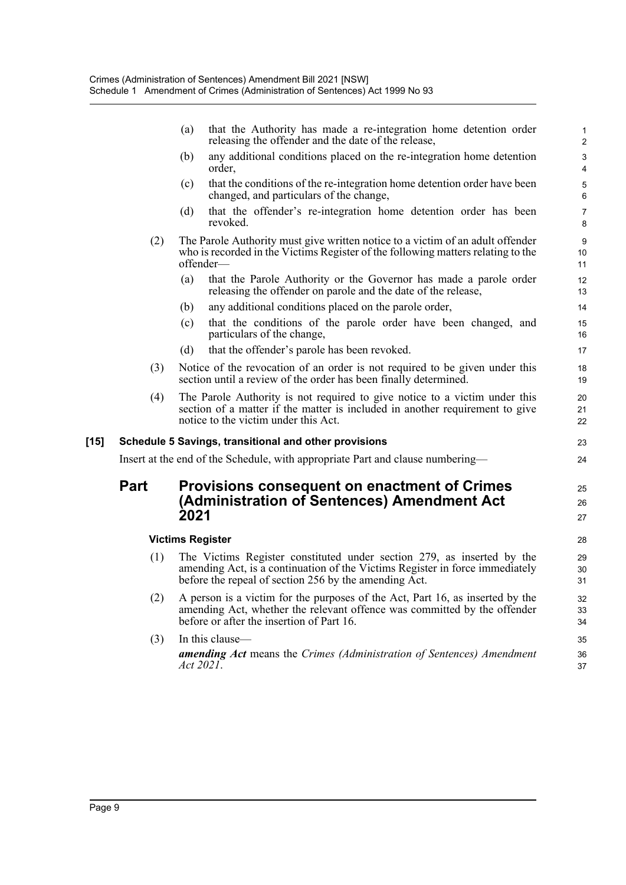|        |             | that the Authority has made a re-integration home detention order<br>(a)<br>releasing the offender and the date of the release,                                                                                 | 1<br>$\overline{\mathbf{c}}$ |
|--------|-------------|-----------------------------------------------------------------------------------------------------------------------------------------------------------------------------------------------------------------|------------------------------|
|        |             | any additional conditions placed on the re-integration home detention<br>(b)<br>order,                                                                                                                          | 3<br>4                       |
|        |             | that the conditions of the re-integration home detention order have been<br>(c)<br>changed, and particulars of the change,                                                                                      | 5<br>6                       |
|        |             | that the offender's re-integration home detention order has been<br>(d)<br>revoked.                                                                                                                             | $\overline{7}$<br>8          |
|        | (2)         | The Parole Authority must give written notice to a victim of an adult offender<br>who is recorded in the Victims Register of the following matters relating to the<br>offender-                                 | 9<br>10<br>11                |
|        |             | (a)<br>that the Parole Authority or the Governor has made a parole order<br>releasing the offender on parole and the date of the release,                                                                       | 12<br>13                     |
|        |             | any additional conditions placed on the parole order,<br>(b)                                                                                                                                                    | 14                           |
|        |             | that the conditions of the parole order have been changed, and<br>(c)<br>particulars of the change,                                                                                                             | 15<br>16                     |
|        |             | that the offender's parole has been revoked.<br>(d)                                                                                                                                                             | 17                           |
|        | (3)         | Notice of the revocation of an order is not required to be given under this<br>section until a review of the order has been finally determined.                                                                 | 18<br>19                     |
|        | (4)         | The Parole Authority is not required to give notice to a victim under this<br>section of a matter if the matter is included in another requirement to give<br>notice to the victim under this Act.              | 20<br>21<br>22               |
| $[15]$ |             | Schedule 5 Savings, transitional and other provisions                                                                                                                                                           | 23                           |
|        |             | Insert at the end of the Schedule, with appropriate Part and clause numbering-                                                                                                                                  | 24                           |
|        | <b>Part</b> | Provisions consequent on enactment of Crimes<br>(Administration of Sentences) Amendment Act<br>2021                                                                                                             | 25<br>26<br>27               |
|        |             | <b>Victims Register</b>                                                                                                                                                                                         | 28                           |
|        | (1)         | The Victims Register constituted under section 279, as inserted by the<br>amending Act, is a continuation of the Victims Register in force immediately<br>before the repeal of section 256 by the amending Act. | 29<br>30<br>31               |
|        | (2)         | A person is a victim for the purposes of the Act, Part 16, as inserted by the<br>amending Act, whether the relevant offence was committed by the offender<br>before or after the insertion of Part 16.          | 32<br>33<br>34               |
|        | (3)         | In this clause-                                                                                                                                                                                                 | 35                           |
|        |             | <b>amending Act</b> means the Crimes (Administration of Sentences) Amendment<br>Act 2021.                                                                                                                       | 36<br>37                     |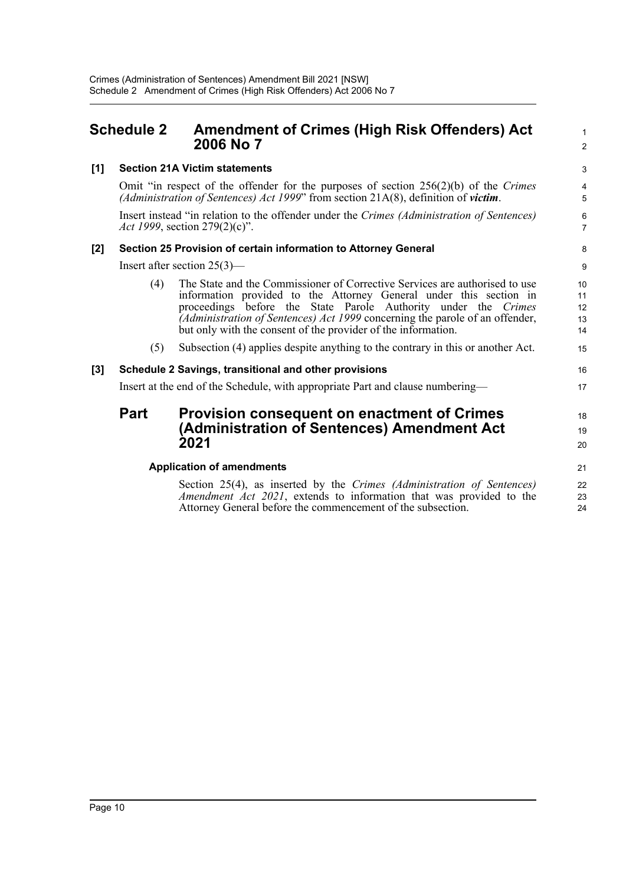<span id="page-13-0"></span>

| <b>Schedule 2</b> |     | <b>Amendment of Crimes (High Risk Offenders) Act</b><br>2006 No 7                                                                                                                                                                                                                                                                                                    | 1<br>$\overline{2}$        |
|-------------------|-----|----------------------------------------------------------------------------------------------------------------------------------------------------------------------------------------------------------------------------------------------------------------------------------------------------------------------------------------------------------------------|----------------------------|
| [1]               |     | <b>Section 21A Victim statements</b>                                                                                                                                                                                                                                                                                                                                 | 3                          |
|                   |     | Omit "in respect of the offender for the purposes of section $256(2)(b)$ of the Crimes<br>(Administration of Sentences) Act 1999" from section $21A(8)$ , definition of victim.                                                                                                                                                                                      | 4<br>5                     |
|                   |     | Insert instead "in relation to the offender under the Crimes (Administration of Sentences)<br><i>Act 1999</i> , section 279(2)(c)".                                                                                                                                                                                                                                  | 6<br>$\overline{7}$        |
| [2]               |     | Section 25 Provision of certain information to Attorney General                                                                                                                                                                                                                                                                                                      | 8                          |
|                   |     | Insert after section $25(3)$ —                                                                                                                                                                                                                                                                                                                                       | 9                          |
|                   | (4) | The State and the Commissioner of Corrective Services are authorised to use<br>information provided to the Attorney General under this section in<br>proceedings before the State Parole Authority under the Crimes<br>(Administration of Sentences) Act 1999 concerning the parole of an offender,<br>but only with the consent of the provider of the information. | 10<br>11<br>12<br>13<br>14 |
|                   | (5) | Subsection (4) applies despite anything to the contrary in this or another Act.                                                                                                                                                                                                                                                                                      | 15                         |
| [3]               |     | Schedule 2 Savings, transitional and other provisions                                                                                                                                                                                                                                                                                                                | 16                         |
|                   |     | Insert at the end of the Schedule, with appropriate Part and clause numbering—                                                                                                                                                                                                                                                                                       | 17                         |

18 19 20

21

### **Part Provision consequent on enactment of Crimes (Administration of Sentences) Amendment Act 2021**

#### **Application of amendments**

Section 25(4), as inserted by the *Crimes (Administration of Sentences) Amendment Act 2021*, extends to information that was provided to the Attorney General before the commencement of the subsection. 22 23 24